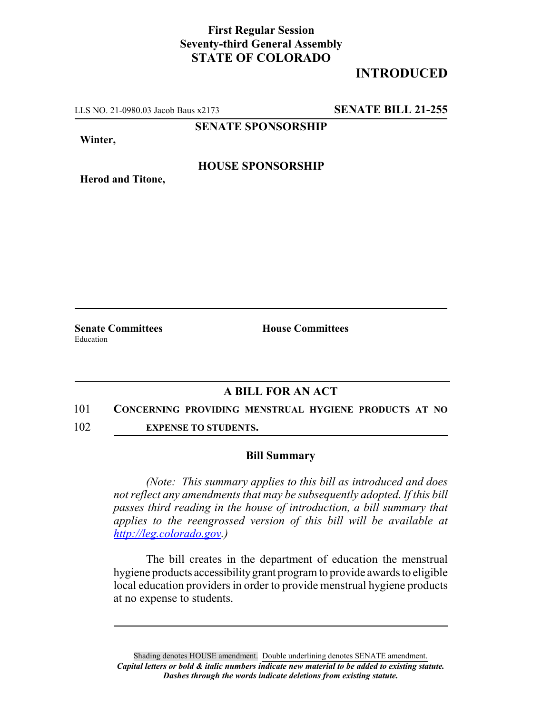## **First Regular Session Seventy-third General Assembly STATE OF COLORADO**

# **INTRODUCED**

LLS NO. 21-0980.03 Jacob Baus x2173 **SENATE BILL 21-255**

**SENATE SPONSORSHIP**

**Winter,**

### **HOUSE SPONSORSHIP**

**Herod and Titone,**

Education

**Senate Committees House Committees** 

## **A BILL FOR AN ACT**

#### 101 **CONCERNING PROVIDING MENSTRUAL HYGIENE PRODUCTS AT NO**

102 **EXPENSE TO STUDENTS.**

#### **Bill Summary**

*(Note: This summary applies to this bill as introduced and does not reflect any amendments that may be subsequently adopted. If this bill passes third reading in the house of introduction, a bill summary that applies to the reengrossed version of this bill will be available at http://leg.colorado.gov.)*

The bill creates in the department of education the menstrual hygiene products accessibility grant program to provide awards to eligible local education providers in order to provide menstrual hygiene products at no expense to students.

Shading denotes HOUSE amendment. Double underlining denotes SENATE amendment. *Capital letters or bold & italic numbers indicate new material to be added to existing statute. Dashes through the words indicate deletions from existing statute.*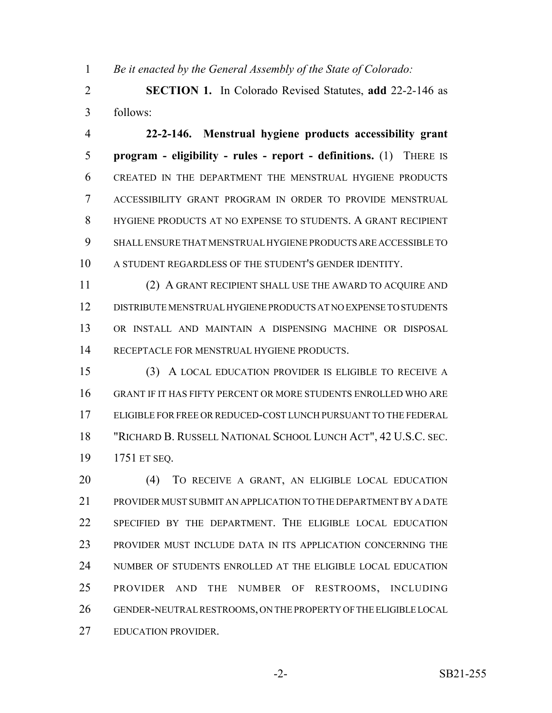*Be it enacted by the General Assembly of the State of Colorado:*

 **SECTION 1.** In Colorado Revised Statutes, **add** 22-2-146 as follows:

 **22-2-146. Menstrual hygiene products accessibility grant program - eligibility - rules - report - definitions.** (1) THERE IS CREATED IN THE DEPARTMENT THE MENSTRUAL HYGIENE PRODUCTS ACCESSIBILITY GRANT PROGRAM IN ORDER TO PROVIDE MENSTRUAL HYGIENE PRODUCTS AT NO EXPENSE TO STUDENTS. A GRANT RECIPIENT SHALL ENSURE THAT MENSTRUAL HYGIENE PRODUCTS ARE ACCESSIBLE TO A STUDENT REGARDLESS OF THE STUDENT'S GENDER IDENTITY.

 (2) A GRANT RECIPIENT SHALL USE THE AWARD TO ACQUIRE AND DISTRIBUTE MENSTRUAL HYGIENE PRODUCTS AT NO EXPENSE TO STUDENTS OR INSTALL AND MAINTAIN A DISPENSING MACHINE OR DISPOSAL RECEPTACLE FOR MENSTRUAL HYGIENE PRODUCTS.

 (3) A LOCAL EDUCATION PROVIDER IS ELIGIBLE TO RECEIVE A GRANT IF IT HAS FIFTY PERCENT OR MORE STUDENTS ENROLLED WHO ARE ELIGIBLE FOR FREE OR REDUCED-COST LUNCH PURSUANT TO THE FEDERAL "RICHARD B. RUSSELL NATIONAL SCHOOL LUNCH ACT", 42 U.S.C. SEC. 1751 ET SEQ.

 (4) TO RECEIVE A GRANT, AN ELIGIBLE LOCAL EDUCATION PROVIDER MUST SUBMIT AN APPLICATION TO THE DEPARTMENT BY A DATE SPECIFIED BY THE DEPARTMENT. THE ELIGIBLE LOCAL EDUCATION PROVIDER MUST INCLUDE DATA IN ITS APPLICATION CONCERNING THE NUMBER OF STUDENTS ENROLLED AT THE ELIGIBLE LOCAL EDUCATION PROVIDER AND THE NUMBER OF RESTROOMS, INCLUDING GENDER-NEUTRAL RESTROOMS, ON THE PROPERTY OF THE ELIGIBLE LOCAL EDUCATION PROVIDER.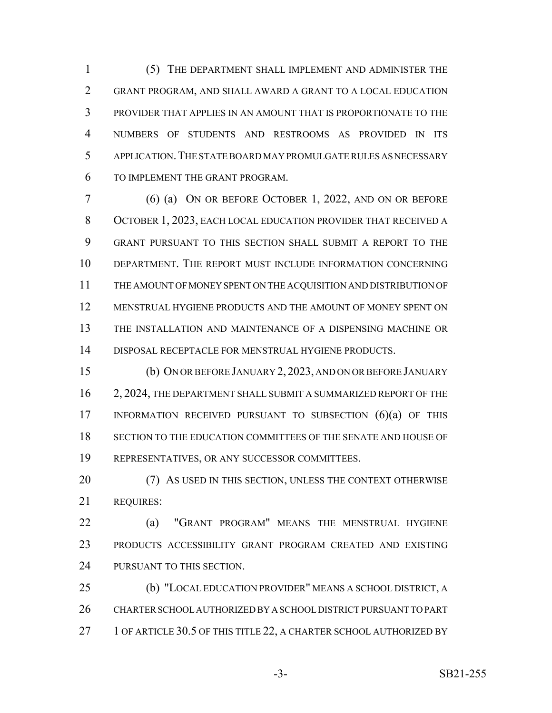(5) THE DEPARTMENT SHALL IMPLEMENT AND ADMINISTER THE GRANT PROGRAM, AND SHALL AWARD A GRANT TO A LOCAL EDUCATION PROVIDER THAT APPLIES IN AN AMOUNT THAT IS PROPORTIONATE TO THE NUMBERS OF STUDENTS AND RESTROOMS AS PROVIDED IN ITS APPLICATION.THE STATE BOARD MAY PROMULGATE RULES AS NECESSARY TO IMPLEMENT THE GRANT PROGRAM.

 (6) (a) ON OR BEFORE OCTOBER 1, 2022, AND ON OR BEFORE OCTOBER 1, 2023, EACH LOCAL EDUCATION PROVIDER THAT RECEIVED A GRANT PURSUANT TO THIS SECTION SHALL SUBMIT A REPORT TO THE DEPARTMENT. THE REPORT MUST INCLUDE INFORMATION CONCERNING THE AMOUNT OF MONEY SPENT ON THE ACQUISITION AND DISTRIBUTION OF MENSTRUAL HYGIENE PRODUCTS AND THE AMOUNT OF MONEY SPENT ON THE INSTALLATION AND MAINTENANCE OF A DISPENSING MACHINE OR DISPOSAL RECEPTACLE FOR MENSTRUAL HYGIENE PRODUCTS.

 (b) ON OR BEFORE JANUARY 2, 2023, AND ON OR BEFORE JANUARY 2, 2024, THE DEPARTMENT SHALL SUBMIT A SUMMARIZED REPORT OF THE INFORMATION RECEIVED PURSUANT TO SUBSECTION (6)(a) OF THIS SECTION TO THE EDUCATION COMMITTEES OF THE SENATE AND HOUSE OF REPRESENTATIVES, OR ANY SUCCESSOR COMMITTEES.

20 (7) AS USED IN THIS SECTION, UNLESS THE CONTEXT OTHERWISE REQUIRES:

 (a) "GRANT PROGRAM" MEANS THE MENSTRUAL HYGIENE PRODUCTS ACCESSIBILITY GRANT PROGRAM CREATED AND EXISTING 24 PURSUANT TO THIS SECTION.

 (b) "LOCAL EDUCATION PROVIDER" MEANS A SCHOOL DISTRICT, A CHARTER SCHOOL AUTHORIZED BY A SCHOOL DISTRICT PURSUANT TO PART 27 1 OF ARTICLE 30.5 OF THIS TITLE 22, A CHARTER SCHOOL AUTHORIZED BY